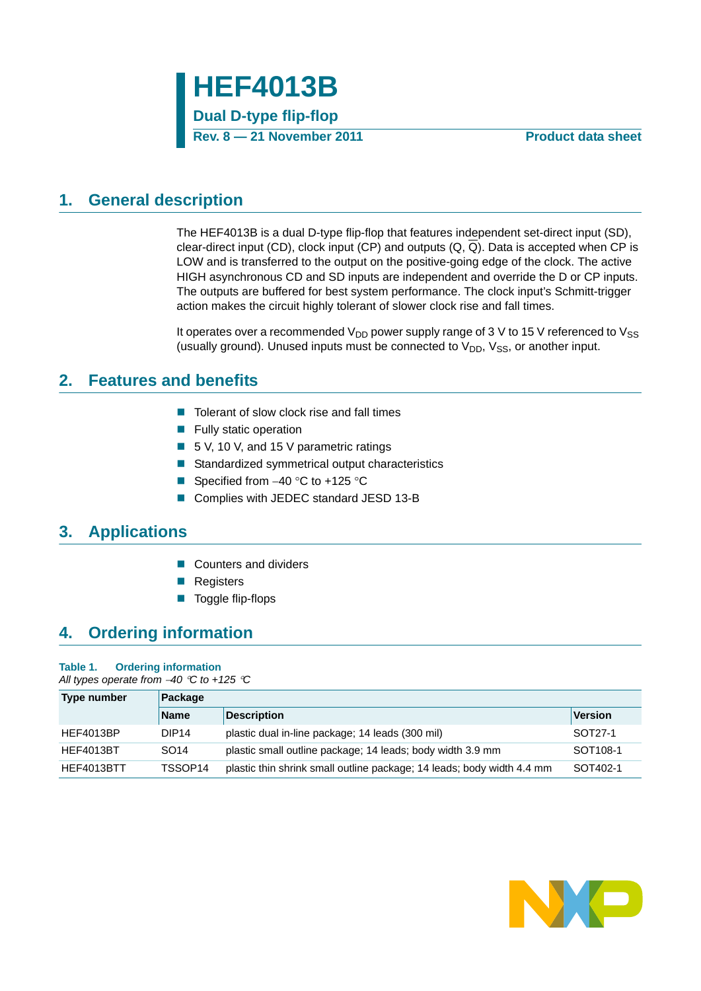### <span id="page-0-0"></span>**1. General description**

The HEF4013B is a dual D-type flip-flop that features independent set-direct input (SD), clear-direct input (CD), clock input (CP) and outputs  $(Q, \overline{Q})$ . Data is accepted when CP is LOW and is transferred to the output on the positive-going edge of the clock. The active HIGH asynchronous CD and SD inputs are independent and override the D or CP inputs. The outputs are buffered for best system performance. The clock input's Schmitt-trigger action makes the circuit highly tolerant of slower clock rise and fall times.

It operates over a recommended  $V_{DD}$  power supply range of 3 V to 15 V referenced to  $V_{SS}$ (usually ground). Unused inputs must be connected to  $V_{DD}$ ,  $V_{SS}$ , or another input.

### <span id="page-0-1"></span>**2. Features and benefits**

- $\blacksquare$  Tolerant of slow clock rise and fall times
- $\blacksquare$  Fully static operation
- 5 V, 10 V, and 15 V parametric ratings
- Standardized symmetrical output characteristics
- Specified from  $-40$  °C to +125 °C
- Complies with JEDEC standard JESD 13-B

## <span id="page-0-2"></span>**3. Applications**

- Counters and dividers
- Registers
- Toggle flip-flops

## <span id="page-0-3"></span>**4. Ordering information**

#### **Table 1. Ordering information**

*All types operate from 40 C to +125 C*

| Type number      | Package           |                                                                        |                      |  |  |  |  |  |
|------------------|-------------------|------------------------------------------------------------------------|----------------------|--|--|--|--|--|
|                  | <b>Name</b>       | <b>Description</b>                                                     | <b>Version</b>       |  |  |  |  |  |
| <b>HEF4013BP</b> | DIP <sub>14</sub> | plastic dual in-line package; 14 leads (300 mil)                       | SOT27-1              |  |  |  |  |  |
| <b>HEF4013BT</b> | SO <sub>14</sub>  | plastic small outline package; 14 leads; body width 3.9 mm             | SOT <sub>108-1</sub> |  |  |  |  |  |
| HEF4013BTT       | TSSOP14           | plastic thin shrink small outline package; 14 leads; body width 4.4 mm | SOT402-1             |  |  |  |  |  |

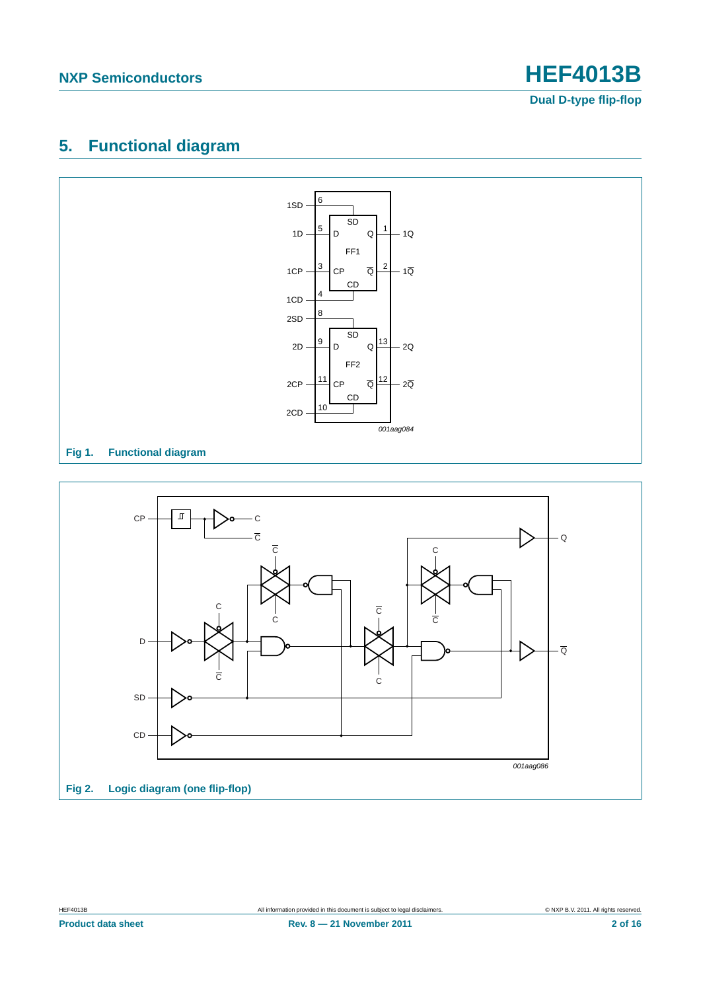## <span id="page-1-0"></span>**5. Functional diagram**



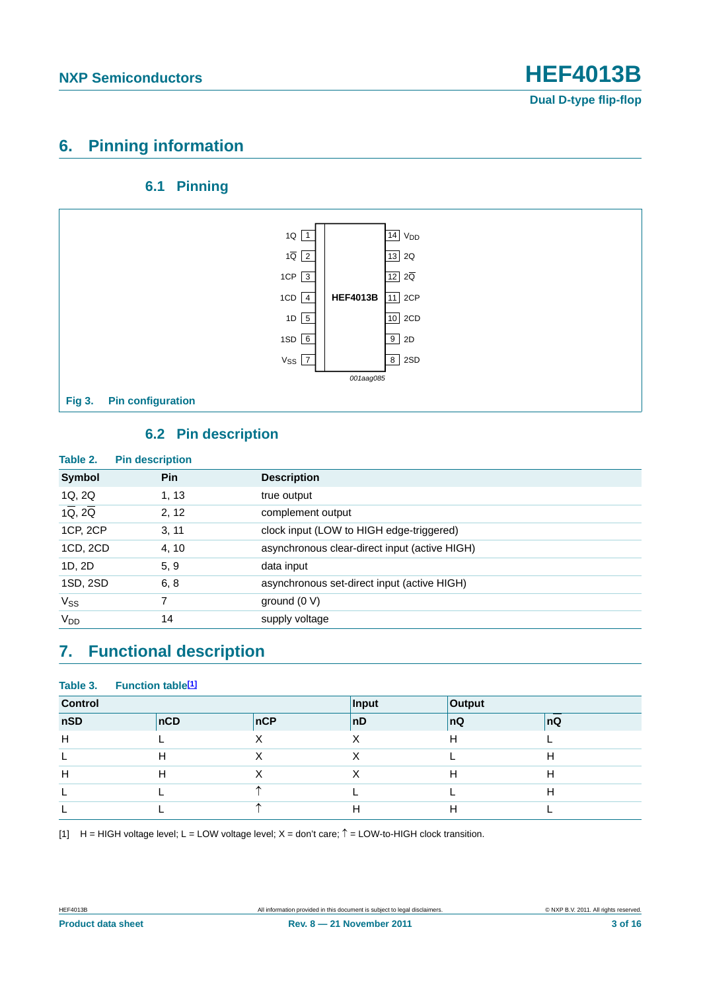## <span id="page-2-1"></span>**6. Pinning information**

#### **6.1 Pinning**

<span id="page-2-2"></span>

#### **6.2 Pin description**

<span id="page-2-3"></span>

| Table 2.                          | <b>Pin description</b> |                                               |
|-----------------------------------|------------------------|-----------------------------------------------|
| Symbol                            | <b>Pin</b>             | <b>Description</b>                            |
| 1Q, 2Q                            | 1, 13                  | true output                                   |
| $1\overline{Q}$ , $2\overline{Q}$ | 2, 12                  | complement output                             |
| 1CP, 2CP                          | 3, 11                  | clock input (LOW to HIGH edge-triggered)      |
| 1CD, 2CD                          | 4, 10                  | asynchronous clear-direct input (active HIGH) |
| 1D, 2D                            | 5, 9                   | data input                                    |
| 1SD, 2SD                          | 6, 8                   | asynchronous set-direct input (active HIGH)   |
| $V_{SS}$                          |                        | ground $(0 V)$                                |
| V <sub>DD</sub>                   | 14                     | supply voltage                                |

## <span id="page-2-4"></span>**7. Functional description**

#### Table 3. Function table<sup>[1]</sup>

| <b>Control</b> |     |     | Input | Output |     |
|----------------|-----|-----|-------|--------|-----|
| nSD            | nCD | nCP | nD    | ∣nQ    | ∣nQ |
| H              |     |     | ⋏     | H      |     |
|                |     |     | ⋏     |        |     |
| Н              |     |     | Χ     | Н      |     |
|                |     |     |       |        |     |
|                |     |     | н     | Н      |     |

<span id="page-2-0"></span>[1]  $H = HIGH$  voltage level; L = LOW voltage level; X = don't care;  $\hat{T} = LOW$ -to-HIGH clock transition.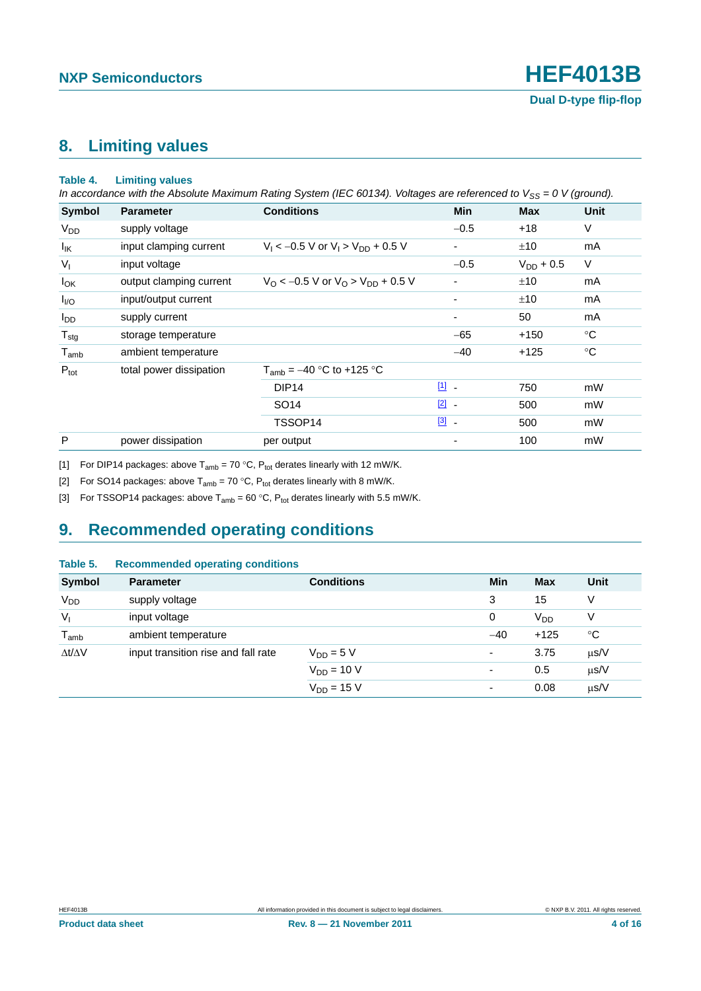# <span id="page-3-3"></span>**8. Limiting values**

#### **Table 4. Limiting values**

*In accordance with the Absolute Maximum Rating System (IEC 60134). Voltages are referenced to V<sub>SS</sub> = 0 V (ground).* 

| <b>Symbol</b>          | <b>Parameter</b>        | <b>Conditions</b>                                          | <b>Min</b>              | <b>Max</b>     | Unit        |
|------------------------|-------------------------|------------------------------------------------------------|-------------------------|----------------|-------------|
| <b>V<sub>DD</sub></b>  | supply voltage          |                                                            | $-0.5$                  | $+18$          | $\vee$      |
| <sup>I</sup> IK        | input clamping current  | $V_1 < -0.5$ V or $V_1 > V_{DD} + 0.5$ V                   |                         | ±10            | mA          |
| $V_{I}$                | input voltage           |                                                            | $-0.5$                  | $V_{DD}$ + 0.5 | V           |
| $I_{OK}$               | output clamping current | $V_{\rm O}$ < -0.5 V or $V_{\rm O}$ > $V_{\rm DD}$ + 0.5 V |                         | ±10            | mA          |
| $I_{VQ}$               | input/output current    |                                                            |                         | ±10            | mA          |
| <b>I</b> <sub>DD</sub> | supply current          |                                                            |                         | 50             | mA          |
| $T_{\text{stg}}$       | storage temperature     |                                                            | $-65$                   | $+150$         | $^{\circ}C$ |
| $T_{\mathsf{amb}}$     | ambient temperature     |                                                            | $-40$                   | $+125$         | $^{\circ}C$ |
| $P_{\text{tot}}$       | total power dissipation | $T_{amb} = -40$ °C to +125 °C                              |                         |                |             |
|                        |                         | DIP <sub>14</sub>                                          | $11 -$                  | 750            | mW          |
|                        |                         | SO <sub>14</sub>                                           | $\boxed{2}$ -           | 500            | mW          |
|                        |                         | TSSOP14                                                    | $\boxed{3}$ $\boxed{3}$ | 500            | mW          |
| P                      | power dissipation       | per output                                                 |                         | 100            | mW          |

<span id="page-3-0"></span>[1] For DIP14 packages: above  $T_{amb} = 70 \degree C$ ,  $P_{tot}$  derates linearly with 12 mW/K.

<span id="page-3-1"></span>[2] For SO14 packages: above  $T_{amb} = 70 °C$ ,  $P_{tot}$  derates linearly with 8 mW/K.

<span id="page-3-2"></span>[3] For TSSOP14 packages: above  $T_{amb} = 60 °C$ ,  $P_{tot}$  derates linearly with 5.5 mW/K.

## <span id="page-3-4"></span>**9. Recommended operating conditions**

#### **Table 5. Recommended operating conditions**

| <b>Symbol</b>       | <b>Parameter</b>                    | <b>Conditions</b> | Min                      | <b>Max</b>            | Unit        |
|---------------------|-------------------------------------|-------------------|--------------------------|-----------------------|-------------|
| V <sub>DD</sub>     | supply voltage                      |                   | 3                        | 15                    | V           |
| $V_{I}$             | input voltage                       |                   | 0                        | <b>V<sub>DD</sub></b> | V           |
| $T_{\mathsf{amb}}$  | ambient temperature                 |                   | $-40$                    | $+125$                | $^{\circ}C$ |
| $\Delta t/\Delta V$ | input transition rise and fall rate | $V_{DD} = 5 V$    | ٠                        | 3.75                  | $\mu$ s/V   |
|                     |                                     | $V_{DD} = 10 V$   | $\overline{\phantom{a}}$ | 0.5                   | $\mu$ s/V   |
|                     |                                     | $V_{DD} = 15 V$   | ٠                        | 0.08                  | $\mu$ s/V   |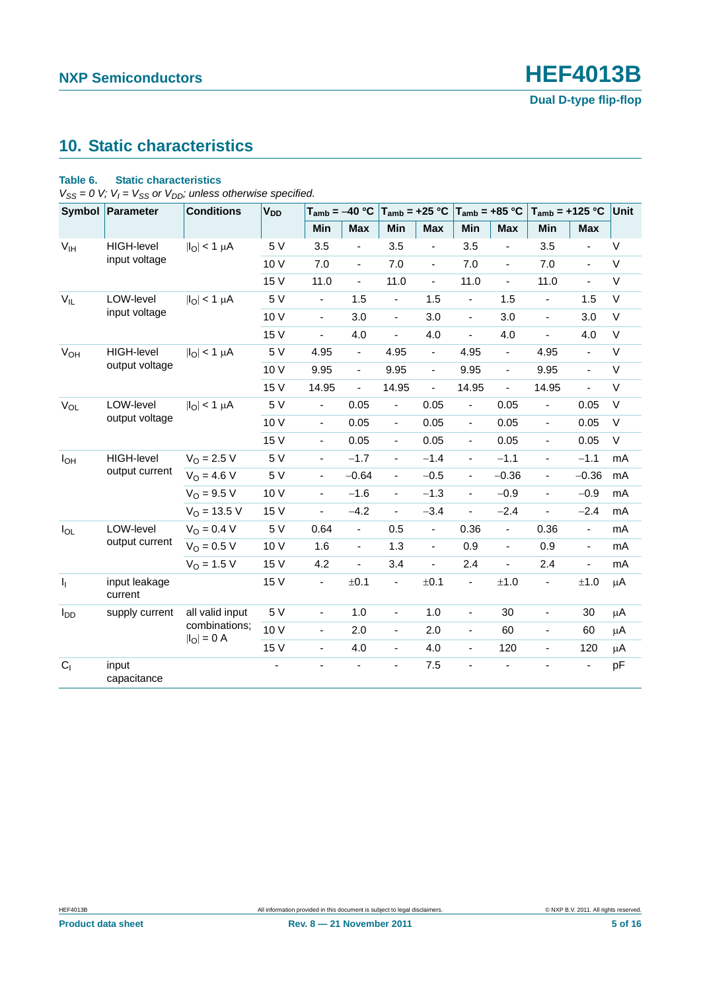## <span id="page-4-0"></span>**10. Static characteristics**

#### **Table 6. Static characteristics**

 $V_{SS} = 0$  *V;*  $V_I = V_{SS}$  or  $V_{DD}$ ; unless otherwise specified.

|                       | Symbol Parameter         | <b>Conditions</b>                | <b>V<sub>DD</sub></b> | $T_{amb} = -40 °C$       |                              | $T_{amb} = +25 °C$       |                          | $T_{amb} = +85 °C$       |                          | $T_{amb}$ = +125 °C          |                          | Unit         |
|-----------------------|--------------------------|----------------------------------|-----------------------|--------------------------|------------------------------|--------------------------|--------------------------|--------------------------|--------------------------|------------------------------|--------------------------|--------------|
|                       |                          |                                  |                       | Min                      | <b>Max</b>                   | Min                      | <b>Max</b>               | Min                      | <b>Max</b>               | Min                          | <b>Max</b>               |              |
| V <sub>IH</sub>       | HIGH-level               | $ I_{\text{O}} $ < 1 µA          | 5 V                   | 3.5                      | $\blacksquare$               | 3.5                      |                          | 3.5                      | ä,                       | 3.5                          |                          | V            |
|                       | input voltage            |                                  | 10 V                  | 7.0                      | $\blacksquare$               | 7.0                      | ÷,                       | 7.0                      | $\blacksquare$           | 7.0                          | ÷,                       | V            |
|                       |                          |                                  | 15 V                  | 11.0                     | $\overline{\phantom{a}}$     | 11.0                     | $\frac{1}{2}$            | 11.0                     | $\overline{\phantom{a}}$ | 11.0                         | $\overline{\phantom{a}}$ | V            |
| $V_{IL}$              | LOW-level                | $ I_{\text{O}} $ < 1 µA          | 5 V                   | ä,                       | 1.5                          | ä,                       | 1.5                      | $\blacksquare$           | 1.5                      | ÷                            | 1.5                      | $\vee$       |
|                       | input voltage            |                                  | 10 V                  | $\blacksquare$           | 3.0                          | $\blacksquare$           | 3.0                      | $\blacksquare$           | 3.0                      | $\blacksquare$               | 3.0                      | $\vee$       |
|                       |                          |                                  | 15 V                  | $\overline{\phantom{a}}$ | 4.0                          | $\blacksquare$           | 4.0                      | $\overline{\phantom{a}}$ | 4.0                      | $\blacksquare$               | 4.0                      | V            |
| <b>V<sub>OH</sub></b> | <b>HIGH-level</b>        | $ I_{\text{O}} $ < 1 µA          | 5 V                   | 4.95                     | $\overline{\phantom{a}}$     | 4.95                     | $\overline{\phantom{a}}$ | 4.95                     | $\blacksquare$           | 4.95                         | $\overline{\phantom{a}}$ | V            |
|                       | output voltage           |                                  | 10 V                  | 9.95                     | $\blacksquare$               | 9.95                     | $\blacksquare$           | 9.95                     | $\overline{a}$           | 9.95                         | ÷,                       | $\vee$       |
|                       |                          |                                  | 15 V                  | 14.95                    | $\blacksquare$               | 14.95                    | $\blacksquare$           | 14.95                    | ÷,                       | 14.95                        | ÷,                       | V            |
| $V_{OL}$              | LOW-level                | $ I_{\text{O}} $ < 1 µA          | 5 V                   | $\overline{\phantom{a}}$ | 0.05                         | ٠                        | 0.05                     | $\overline{\phantom{a}}$ | 0.05                     | $\overline{\phantom{m}}$     | 0.05                     | $\mathsf{V}$ |
|                       | output voltage           |                                  | 10 V                  | $\blacksquare$           | 0.05                         | $\blacksquare$           | 0.05                     | $\blacksquare$           | 0.05                     | $\blacksquare$               | 0.05                     | V            |
|                       |                          |                                  | 15 V                  | $\blacksquare$           | 0.05                         | $\blacksquare$           | 0.05                     | $\blacksquare$           | 0.05                     | $\blacksquare$               | 0.05                     | V            |
| $I_{OH}$              | <b>HIGH-level</b>        | $V_{O} = 2.5 V$                  | 5 V                   | $\overline{\phantom{a}}$ | $-1.7$                       | $\overline{\phantom{a}}$ | $-1.4$                   | $\overline{\phantom{a}}$ | $-1.1$                   | $\qquad \qquad \blacksquare$ | $-1.1$                   | mA           |
|                       | output current           | $V_O = 4.6 V$                    | 5 V                   | $\blacksquare$           | $-0.64$                      | $\blacksquare$           | $-0.5$                   | $\overline{\phantom{a}}$ | $-0.36$                  | $\overline{\phantom{a}}$     | $-0.36$                  | mA           |
|                       |                          | $V_O = 9.5 V$                    | 10 V                  | $\blacksquare$           | $-1.6$                       | $\blacksquare$           | $-1.3$                   | $\blacksquare$           | $-0.9$                   | $\blacksquare$               | $-0.9$                   | mA           |
|                       |                          | $V_O = 13.5 V$                   | 15 V                  | $\overline{\phantom{a}}$ | $-4.2$                       | ÷,                       | $-3.4$                   | $\overline{\phantom{a}}$ | $-2.4$                   | $\qquad \qquad \blacksquare$ | $-2.4$                   | mA           |
| $I_{OL}$              | LOW-level                | $V_O = 0.4 V$                    | 5 V                   | 0.64                     | $\blacksquare$               | 0.5                      | $\overline{\phantom{0}}$ | 0.36                     | $\blacksquare$           | 0.36                         | $\overline{\phantom{a}}$ | mA           |
|                       | output current           | $V_{O} = 0.5 V$                  | 10 V                  | 1.6                      | $\blacksquare$               | 1.3                      | $\blacksquare$           | 0.9                      | $\overline{a}$           | 0.9                          | $\blacksquare$           | mA           |
|                       |                          | $V_{O}$ = 1.5 V                  | 15 V                  | 4.2                      | $\blacksquare$               | 3.4                      | $\frac{1}{2}$            | 2.4                      | ÷,                       | 2.4                          | $\blacksquare$           | mA           |
| I <sub>1</sub>        | input leakage<br>current |                                  | 15 V                  | $\overline{\phantom{a}}$ | ±0.1                         | $\blacksquare$           | ±0.1                     | $\overline{\phantom{a}}$ | ±1.0                     | $\qquad \qquad \blacksquare$ | ±1.0                     | $\mu$ A      |
| $I_{DD}$              | supply current           | all valid input                  | 5 V                   | $\overline{\phantom{a}}$ | 1.0                          | $\blacksquare$           | 1.0                      | $\blacksquare$           | 30                       | $\blacksquare$               | 30                       | $\mu$ A      |
|                       |                          | combinations;<br>$ I_{O}  = 0 A$ | 10V                   | $\blacksquare$           | 2.0                          | $\blacksquare$           | 2.0                      | $\blacksquare$           | 60                       | $\qquad \qquad \blacksquare$ | 60                       | $\mu$ A      |
|                       |                          |                                  | 15 V                  | $\blacksquare$           | 4.0                          | $\blacksquare$           | 4.0                      | $\overline{\phantom{a}}$ | 120                      | $\qquad \qquad \blacksquare$ | 120                      | μA           |
| C <sub>1</sub>        | input<br>capacitance     |                                  |                       |                          | $\qquad \qquad \blacksquare$ | ÷,                       | 7.5                      | ٠                        |                          | $\overline{\phantom{a}}$     | -                        | pF           |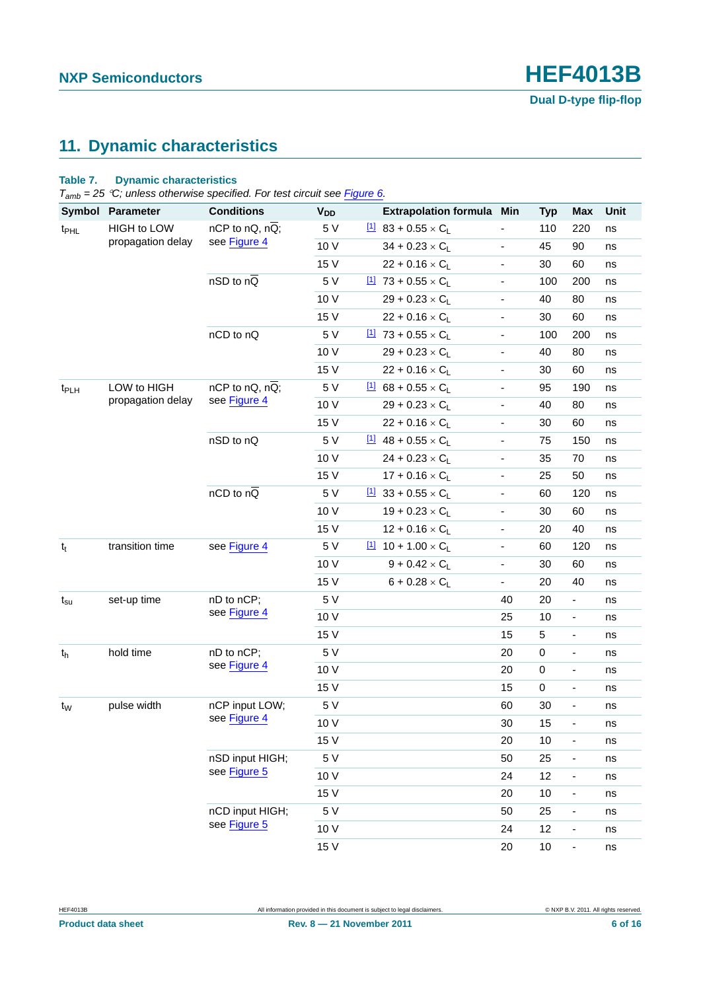## <span id="page-5-0"></span>**11. Dynamic characteristics**

#### **Table 7. Dynamic characteristics**

*Tamb = 25 C; unless otherwise specified. For test circuit see [Figure 6](#page-7-0).*

| Symbol           | <b>Parameter</b>   | <b>Conditions</b>                 | <b>V<sub>DD</sub></b> | <b>Extrapolation formula</b>              | Min                      | <b>Typ</b> | <b>Max</b>                   | Unit |
|------------------|--------------------|-----------------------------------|-----------------------|-------------------------------------------|--------------------------|------------|------------------------------|------|
| t <sub>PHL</sub> | <b>HIGH to LOW</b> | $nCP$ to $nQ$ , $n\overline{Q}$ ; | 5 V                   | $\frac{11}{2}$ 83 + 0.55 × C <sub>L</sub> |                          | 110        | 220                          | ns   |
|                  | propagation delay  | see Figure 4                      | 10 V                  | $34 + 0.23 \times C_1$                    | $\blacksquare$           | 45         | 90                           | ns   |
|                  |                    |                                   | 15 V                  | $22 + 0.16 \times C_L$                    | $\blacksquare$           | 30         | 60                           | ns   |
|                  |                    | $nSD$ to $nQ$                     | 5 V                   | $11$ 73 + 0.55 × C <sub>L</sub>           | $\frac{1}{2}$            | 100        | 200                          | ns   |
|                  |                    |                                   | 10 V                  | $29 + 0.23 \times C_L$                    | $\overline{\phantom{0}}$ | 40         | 80                           | ns   |
|                  |                    |                                   | 15 V                  | $22 + 0.16 \times C_L$                    | $\overline{\phantom{0}}$ | 30         | 60                           | ns   |
|                  |                    | nCD to nQ                         | 5 V                   | $11$ 73 + 0.55 × C <sub>L</sub>           | $\blacksquare$           | 100        | 200                          | ns   |
|                  |                    |                                   | 10 V                  | $29 + 0.23 \times C_L$                    | $\overline{\phantom{a}}$ | 40         | 80                           | ns   |
|                  |                    |                                   | 15 V                  | $22 + 0.16 \times C_L$                    | $\blacksquare$           | 30         | 60                           | ns   |
| t <sub>PLH</sub> | LOW to HIGH        | $nCP$ to $nQ$ , $n\overline{Q}$ ; | 5 V                   | $11$ 68 + 0.55 × C <sub>L</sub>           | $\blacksquare$           | 95         | 190                          | ns   |
|                  | propagation delay  | see Figure 4                      | 10 V                  | $29 + 0.23 \times C_L$                    | $\blacksquare$           | 40         | 80                           | ns   |
|                  |                    |                                   | 15 V                  | $22 + 0.16 \times C_L$                    | $\overline{\phantom{a}}$ | 30         | 60                           | ns   |
|                  |                    | nSD to nQ                         | 5 V                   | $11$ 48 + 0.55 × C                        | $\overline{\phantom{0}}$ | 75         | 150                          | ns   |
|                  |                    |                                   | 10 V                  | $24 + 0.23 \times C_L$                    | $\blacksquare$           | 35         | 70                           | ns   |
|                  |                    |                                   | 15 V                  | $17 + 0.16 \times C_L$                    | $\blacksquare$           | 25         | 50                           | ns   |
|                  |                    | $nCD$ to $n\overline{Q}$          | 5 V                   | $11$ 33 + 0.55 × C <sub>L</sub>           | $\overline{\phantom{a}}$ | 60         | 120                          | ns   |
|                  |                    |                                   | 10 V                  | $19 + 0.23 \times C_L$                    | $\overline{\phantom{0}}$ | 30         | 60                           | ns   |
|                  |                    |                                   | 15 V                  | $12 + 0.16 \times C_L$                    | $\overline{\phantom{a}}$ | 20         | 40                           | ns   |
| $t_t$            | transition time    | see Figure 4                      | 5 V                   | $10 + 1.00 \times C_L$                    | $\blacksquare$           | 60         | 120                          | ns   |
|                  |                    |                                   | 10 V                  | $9 + 0.42 \times C_L$                     | $\blacksquare$           | 30         | 60                           | ns   |
|                  |                    |                                   | 15 V                  | $6 + 0.28 \times C_L$                     | ÷,                       | 20         | 40                           | ns   |
| $t_{\rm su}$     | set-up time        | nD to nCP;                        | 5 V                   |                                           | 40                       | 20         | $\blacksquare$               | ns   |
|                  |                    | see Figure 4                      | 10 V                  |                                           | 25                       | 10         | ٠                            | ns   |
|                  |                    |                                   | 15 V                  |                                           | 15                       | 5          | $\overline{\phantom{a}}$     | ns   |
| $t_{h}$          | hold time          | nD to nCP;                        | 5 V                   |                                           | 20                       | $\pmb{0}$  | $\blacksquare$               | ns   |
|                  |                    | see Figure 4                      | 10 V                  |                                           | 20                       | $\pmb{0}$  | $\blacksquare$               | ns   |
|                  |                    |                                   | 15 V                  |                                           | 15                       | $\pmb{0}$  | $\blacksquare$               | ns   |
| $t_{W}$          | pulse width        | nCP input LOW;                    | 5 V                   |                                           | 60                       | 30         | $\overline{\phantom{a}}$     | ns   |
|                  |                    | see Figure 4                      | 10 V                  |                                           | 30                       | 15         | $\blacksquare$               | ns   |
|                  |                    |                                   | 15 V                  |                                           | 20                       | 10         | $\qquad \qquad \blacksquare$ | ns   |
|                  |                    | nSD input HIGH;                   | 5 V                   |                                           | 50                       | 25         | $\qquad \qquad \blacksquare$ | ns   |
|                  |                    | see Figure 5                      | 10 V                  |                                           | 24                       | 12         | $\frac{1}{2}$                | ns   |
|                  |                    |                                   | 15 V                  |                                           | 20                       | 10         | ÷,                           | ns   |
|                  |                    | nCD input HIGH;                   | 5 V                   |                                           | 50                       | 25         | -                            | ns   |
|                  |                    | see Figure 5                      | 10 V                  |                                           | 24                       | 12         | $\overline{\phantom{a}}$     | ns   |
|                  |                    |                                   | 15 V                  |                                           | 20                       | 10         | $\overline{\phantom{a}}$     | ns   |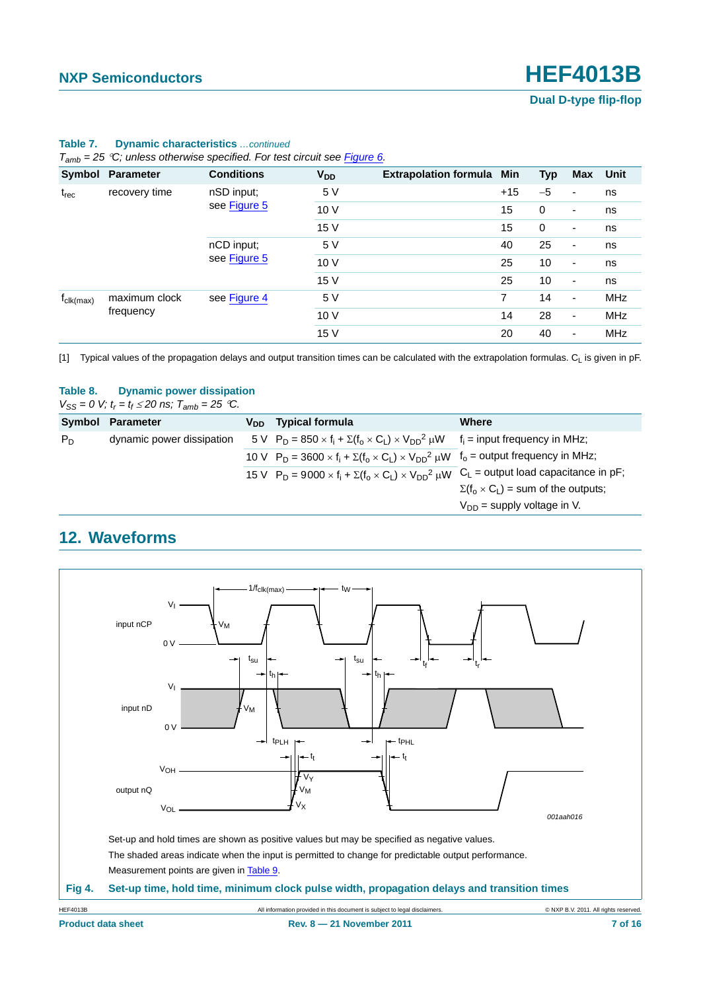| $I_{amb}$ = 25 °C, unless otherwise specified. For test circuit see Figure 6. |                               |                   |                       |                              |             |                          |                          |            |  |
|-------------------------------------------------------------------------------|-------------------------------|-------------------|-----------------------|------------------------------|-------------|--------------------------|--------------------------|------------|--|
|                                                                               | Symbol Parameter              | <b>Conditions</b> | <b>V<sub>DD</sub></b> | <b>Extrapolation formula</b> | Min         | <b>Typ</b>               | Max Unit                 |            |  |
| recovery time<br>$t_{rec}$                                                    | nSD input;                    | 5 V               |                       | $+15$                        | $-5$        | ٠                        | ns                       |            |  |
|                                                                               |                               | see Figure 5      | 10V                   |                              | 15          | $\mathbf 0$              | $\overline{\phantom{a}}$ | ns         |  |
|                                                                               |                               | 15 V              |                       | 15                           | $\mathbf 0$ | ۰                        | ns                       |            |  |
|                                                                               | nCD input;                    | 5 V               |                       | 40                           | 25          | -                        | ns                       |            |  |
|                                                                               |                               | see Figure 5      | 10V                   |                              | 25          | 10                       | ٠                        | ns         |  |
|                                                                               |                               |                   | 15 V                  |                              | 25          | 10                       | ۰                        | ns         |  |
| $f_{\text{clk}(\text{max})}$                                                  | maximum clock<br>see Figure 4 |                   | 5 V                   |                              | 7           | 14                       | $\overline{\phantom{a}}$ | <b>MHz</b> |  |
| frequency                                                                     |                               | 10V               |                       | 14                           | 28          | $\overline{\phantom{a}}$ | <b>MHz</b>               |            |  |
|                                                                               |                               |                   | 15 V                  |                              | 20          | 40                       | ۰                        | <b>MHz</b> |  |

#### **Table 7. Dynamic characteristics** *…continued*

*Tamb = 25 C; unless otherwise specified. For test circuit see Figure 6.*

<span id="page-6-1"></span>[1] Typical values of the propagation delays and output transition times can be calculated with the extrapolation formulas. C<sub>L</sub> is given in pF.

#### **Table 8. Dynamic power dissipation**

 $V_{SS} = 0$  *V;*  $t_r = t_f \le 20$  *ns;*  $T_{amb} = 25$  <sup>o</sup>C.

|       | Symbol Parameter          | $V_{DD}$ Typical formula                                                                                           | Where                                          |
|-------|---------------------------|--------------------------------------------------------------------------------------------------------------------|------------------------------------------------|
| $P_D$ | dynamic power dissipation | 5 V $P_D = 850 \times f_i + \Sigma(f_0 \times C_1) \times V_{DD}^2 \mu W$ $f_i$ = input frequency in MHz;          |                                                |
|       |                           | 10 V $P_D = 3600 \times f_i + \Sigma(f_o \times C_L) \times V_{DD}^2 \mu W$ $f_o$ = output frequency in MHz;       |                                                |
|       |                           | 15 V $P_D = 9000 \times f_i + \Sigma(f_o \times C_l) \times V_{DD}^2 \mu W$ $C_L$ = output load capacitance in pF; |                                                |
|       |                           |                                                                                                                    | $\Sigma(f_0 \times C_L)$ = sum of the outputs; |
|       |                           |                                                                                                                    | $V_{DD}$ = supply voltage in V.                |

## <span id="page-6-2"></span>**12. Waveforms**

<span id="page-6-0"></span>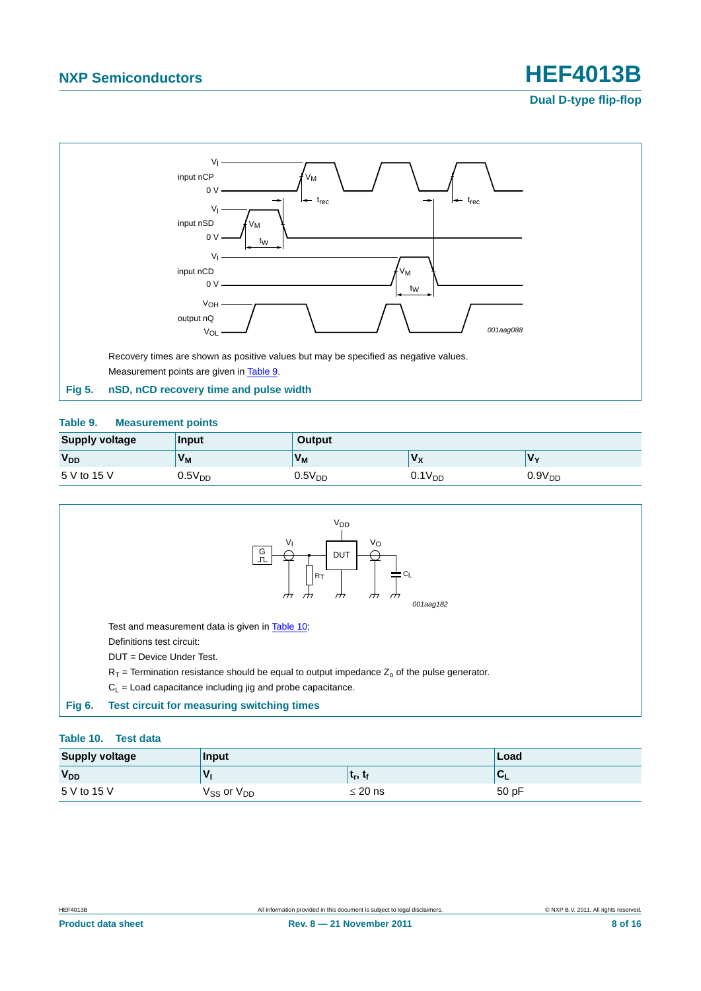## **NXP Semiconductors HEF4013B**



#### <span id="page-7-2"></span><span id="page-7-1"></span>**Table 9. Measurement points**

| <b>Supply voltage</b> | Input                | <b>Output</b> |                    |                    |
|-----------------------|----------------------|---------------|--------------------|--------------------|
| <b>V<sub>DD</sub></b> | <b>V<sub>M</sub></b> | $V_M$         | 'V <sub>x</sub>    | V٧                 |
| 5 V to 15 V           | $0.5V_{DD}$          | $0.5V_{DD}$   | 0.1V <sub>DD</sub> | 0.9V <sub>DD</sub> |



#### <span id="page-7-3"></span><span id="page-7-0"></span>**Table 10. Test data**

| <b>Supply voltage</b> | Input                        | Load                            |                   |
|-----------------------|------------------------------|---------------------------------|-------------------|
| <b>V<sub>DD</sub></b> | v                            | t <sub>r</sub> , t <sub>f</sub> | $\sqrt{ }$<br>ືີ⊾ |
| 5 V to 15 V           | $\rm V_{SS}$ or $\rm V_{DD}$ | $\leq$ 20 ns                    | 50 pF             |

**Dual D-type flip-flop**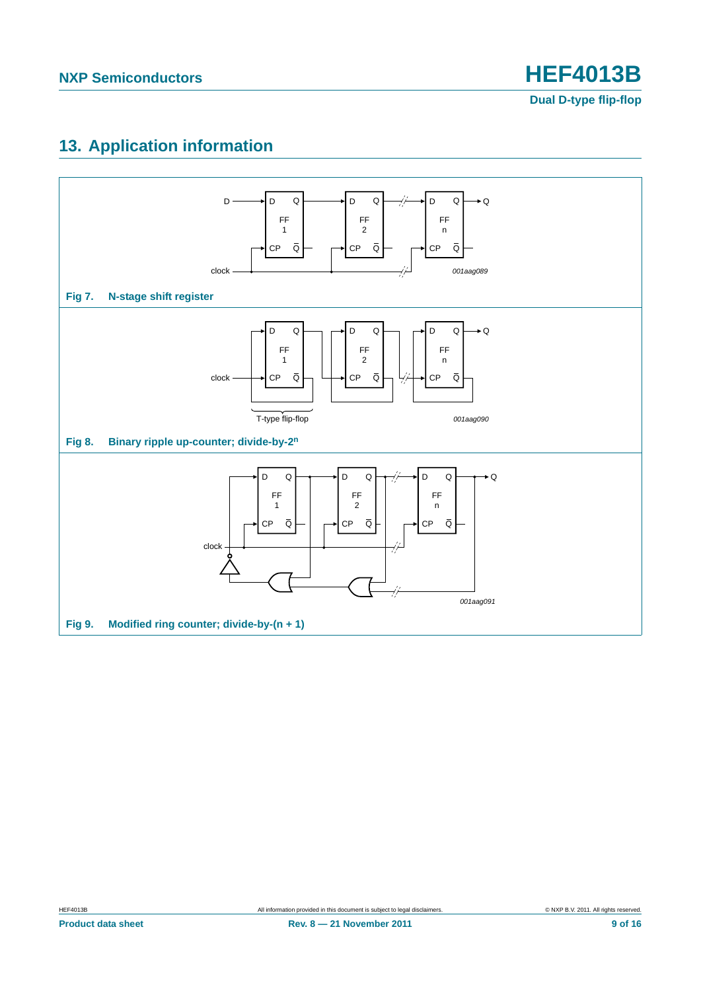## <span id="page-8-0"></span>**13. Application information**

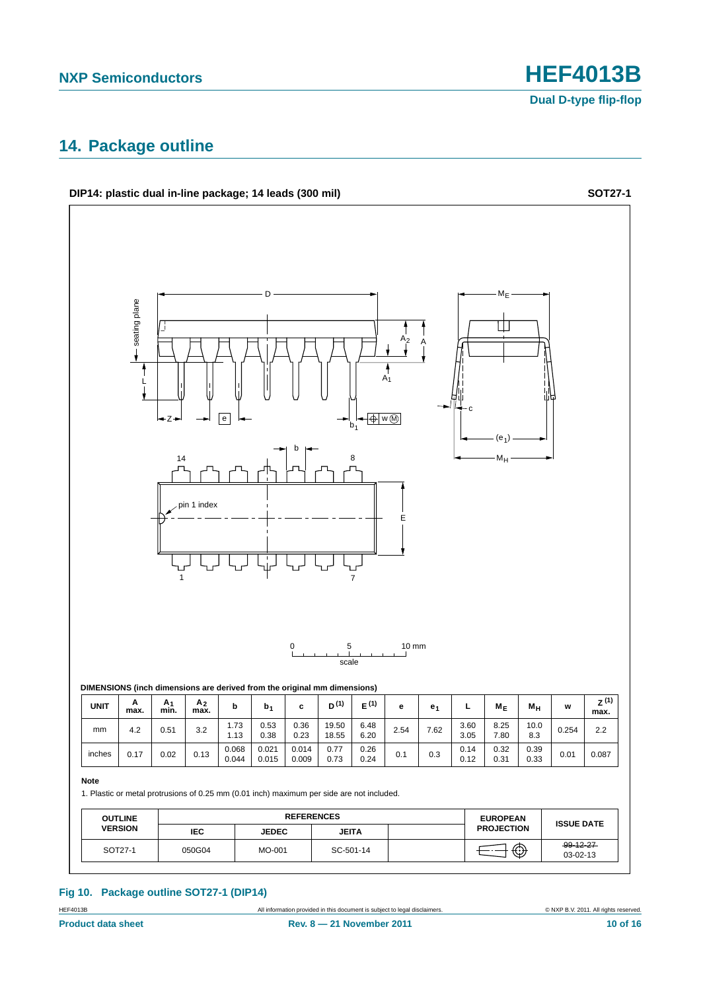#### <span id="page-9-0"></span>**14. Package outline**



#### **Fig 10. Package outline SOT27-1 (DIP14)**

HEF4013B All information provided in this document is subject to legal disclaimers. © NXP B.V. 2011. All rights reserved.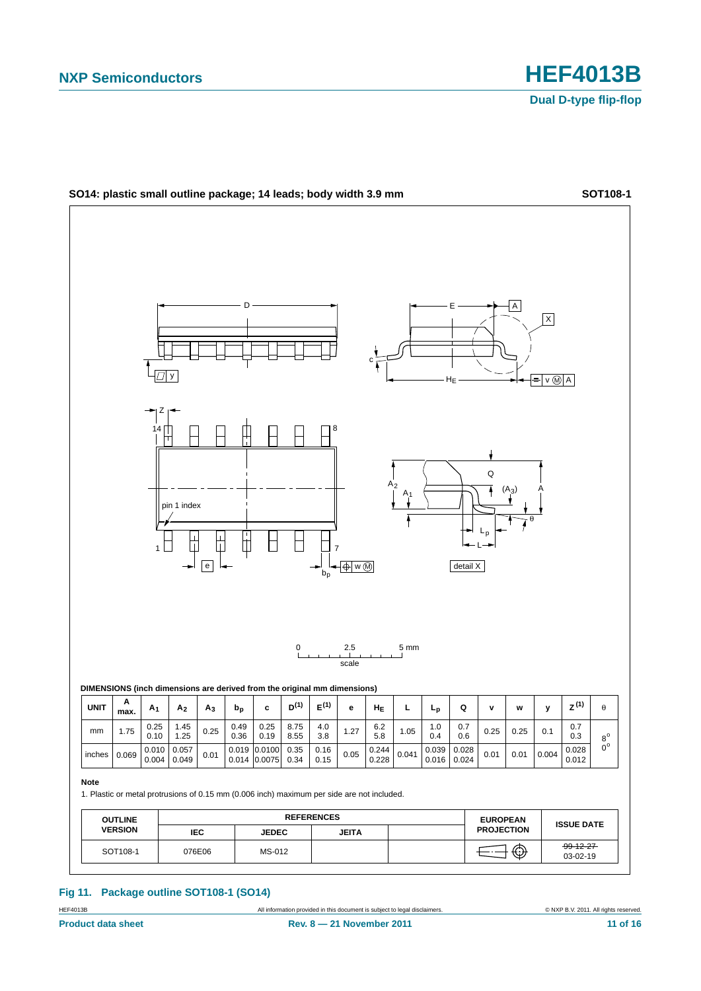

**Fig 11. Package outline SOT108-1 (SO14)**

HEF4013B **All information provided in this document** is subject to legal disclaimers. **Example 2011.** All rights reserved.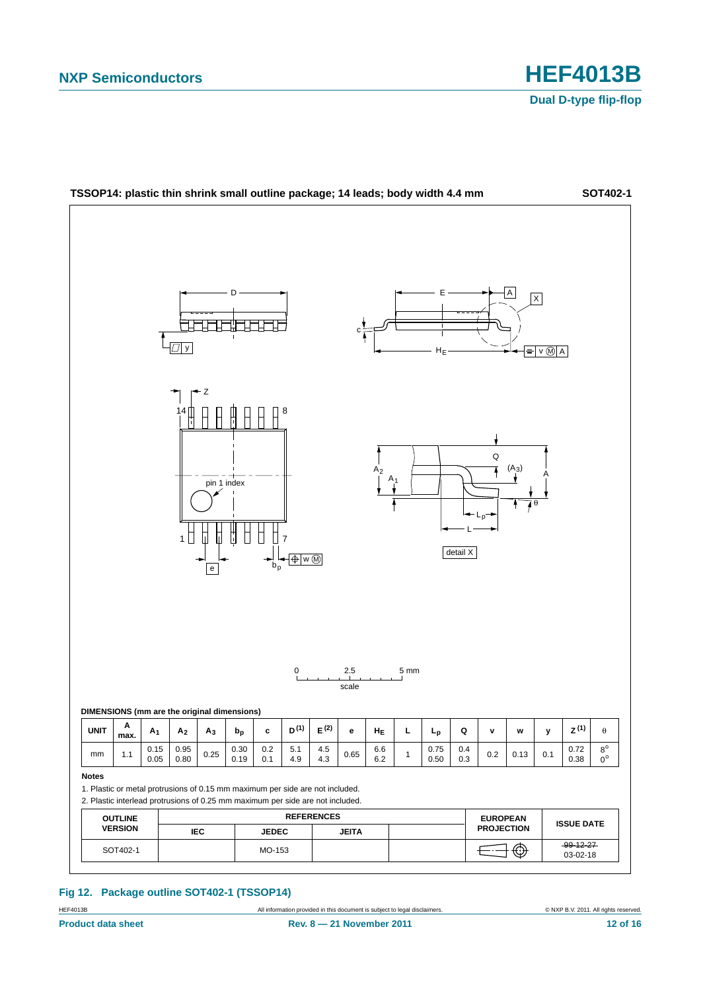

**Fig 12. Package outline SOT402-1 (TSSOP14)**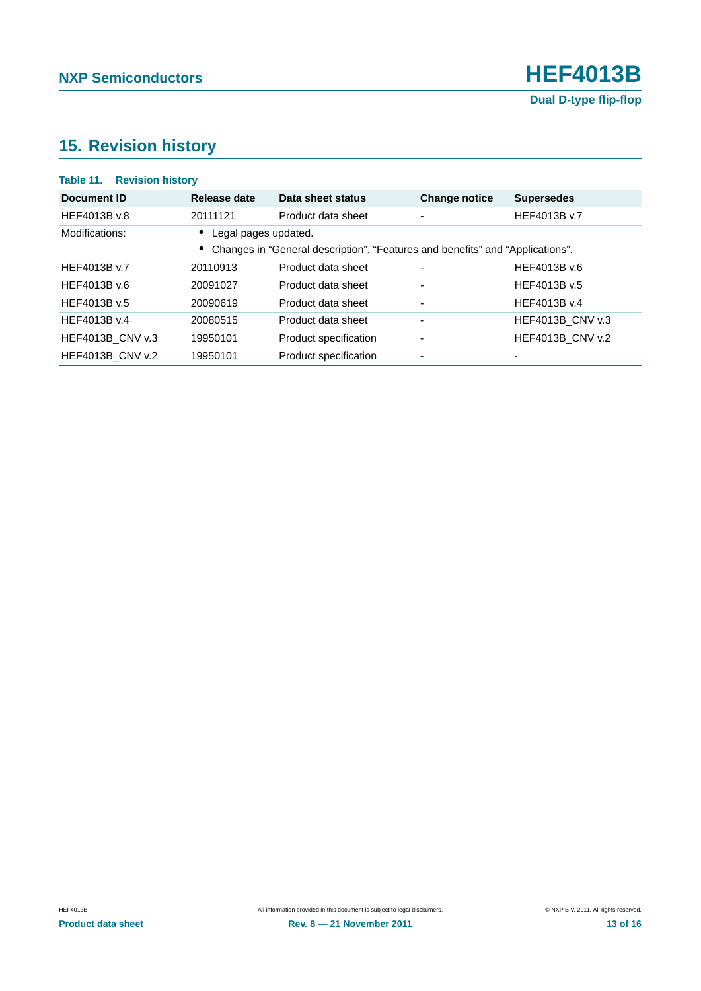## <span id="page-12-0"></span>**15. Revision history**

| Table 11. Revision history |                      |                                                                               |                          |                         |
|----------------------------|----------------------|-------------------------------------------------------------------------------|--------------------------|-------------------------|
| Document ID                | Release date         | Data sheet status                                                             | <b>Change notice</b>     | <b>Supersedes</b>       |
| HEF4013B v.8               | 20111121             | Product data sheet                                                            | $\overline{\phantom{a}}$ | HEF4013B v.7            |
| Modifications:             | Legal pages updated. |                                                                               |                          |                         |
|                            |                      | Changes in "General description", "Features and benefits" and "Applications". |                          |                         |
| HEF4013B v.7               | 20110913             | Product data sheet                                                            | $\overline{\phantom{0}}$ | HEF4013B v.6            |
| HEF4013B v.6               | 20091027             | Product data sheet                                                            | $\overline{\phantom{a}}$ | HEF4013B v.5            |
| HEF4013B v.5               | 20090619             | Product data sheet                                                            | $\overline{\phantom{a}}$ | HEF4013B v.4            |
| HFF4013B v.4               | 20080515             | Product data sheet                                                            | $\overline{\phantom{a}}$ | <b>HEF4013B CNV v.3</b> |
| <b>HEF4013B CNV v.3</b>    | 19950101             | Product specification                                                         | ٠                        | HEF4013B_CNV v.2        |
| <b>HEF4013B CNV v.2</b>    | 19950101             | Product specification                                                         | $\overline{\phantom{a}}$ |                         |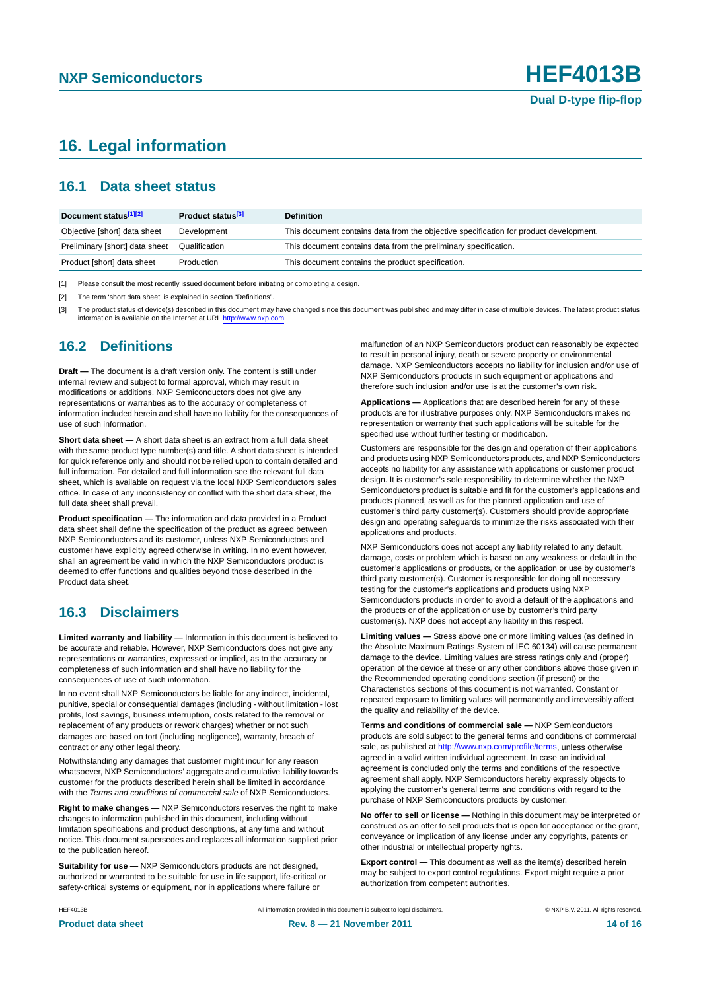## <span id="page-13-0"></span>**16. Legal information**

#### <span id="page-13-1"></span>**16.1 Data sheet status**

| Document status[1][2]          | Product status <sup>[3]</sup> | <b>Definition</b>                                                                     |
|--------------------------------|-------------------------------|---------------------------------------------------------------------------------------|
| Objective [short] data sheet   | Development                   | This document contains data from the objective specification for product development. |
| Preliminary [short] data sheet | Qualification                 | This document contains data from the preliminary specification.                       |
| Product [short] data sheet     | Production                    | This document contains the product specification.                                     |

[1] Please consult the most recently issued document before initiating or completing a design.

[2] The term 'short data sheet' is explained in section "Definitions".

[3] The product status of device(s) described in this document may have changed since this document was published and may differ in case of multiple devices. The latest product status<br>information is available on the Intern

#### <span id="page-13-2"></span>**16.2 Definitions**

**Draft —** The document is a draft version only. The content is still under internal review and subject to formal approval, which may result in modifications or additions. NXP Semiconductors does not give any representations or warranties as to the accuracy or completeness of information included herein and shall have no liability for the consequences of use of such information.

**Short data sheet —** A short data sheet is an extract from a full data sheet with the same product type number(s) and title. A short data sheet is intended for quick reference only and should not be relied upon to contain detailed and full information. For detailed and full information see the relevant full data sheet, which is available on request via the local NXP Semiconductors sales office. In case of any inconsistency or conflict with the short data sheet, the full data sheet shall prevail.

**Product specification —** The information and data provided in a Product data sheet shall define the specification of the product as agreed between NXP Semiconductors and its customer, unless NXP Semiconductors and customer have explicitly agreed otherwise in writing. In no event however, shall an agreement be valid in which the NXP Semiconductors product is deemed to offer functions and qualities beyond those described in the Product data sheet.

#### <span id="page-13-3"></span>**16.3 Disclaimers**

**Limited warranty and liability —** Information in this document is believed to be accurate and reliable. However, NXP Semiconductors does not give any representations or warranties, expressed or implied, as to the accuracy or completeness of such information and shall have no liability for the consequences of use of such information.

In no event shall NXP Semiconductors be liable for any indirect, incidental, punitive, special or consequential damages (including - without limitation - lost profits, lost savings, business interruption, costs related to the removal or replacement of any products or rework charges) whether or not such damages are based on tort (including negligence), warranty, breach of contract or any other legal theory.

Notwithstanding any damages that customer might incur for any reason whatsoever, NXP Semiconductors' aggregate and cumulative liability towards customer for the products described herein shall be limited in accordance with the *Terms and conditions of commercial sale* of NXP Semiconductors.

**Right to make changes —** NXP Semiconductors reserves the right to make changes to information published in this document, including without limitation specifications and product descriptions, at any time and without notice. This document supersedes and replaces all information supplied prior to the publication hereof.

**Suitability for use —** NXP Semiconductors products are not designed, authorized or warranted to be suitable for use in life support, life-critical or safety-critical systems or equipment, nor in applications where failure or

malfunction of an NXP Semiconductors product can reasonably be expected to result in personal injury, death or severe property or environmental damage. NXP Semiconductors accepts no liability for inclusion and/or use of NXP Semiconductors products in such equipment or applications and therefore such inclusion and/or use is at the customer's own risk.

**Applications —** Applications that are described herein for any of these products are for illustrative purposes only. NXP Semiconductors makes no representation or warranty that such applications will be suitable for the specified use without further testing or modification.

Customers are responsible for the design and operation of their applications and products using NXP Semiconductors products, and NXP Semiconductors accepts no liability for any assistance with applications or customer product design. It is customer's sole responsibility to determine whether the NXP Semiconductors product is suitable and fit for the customer's applications and products planned, as well as for the planned application and use of customer's third party customer(s). Customers should provide appropriate design and operating safeguards to minimize the risks associated with their applications and products.

NXP Semiconductors does not accept any liability related to any default, damage, costs or problem which is based on any weakness or default in the customer's applications or products, or the application or use by customer's third party customer(s). Customer is responsible for doing all necessary testing for the customer's applications and products using NXP Semiconductors products in order to avoid a default of the applications and the products or of the application or use by customer's third party customer(s). NXP does not accept any liability in this respect.

**Limiting values —** Stress above one or more limiting values (as defined in the Absolute Maximum Ratings System of IEC 60134) will cause permanent damage to the device. Limiting values are stress ratings only and (proper) operation of the device at these or any other conditions above those given in the Recommended operating conditions section (if present) or the Characteristics sections of this document is not warranted. Constant or repeated exposure to limiting values will permanently and irreversibly affect the quality and reliability of the device.

**Terms and conditions of commercial sale —** NXP Semiconductors products are sold subject to the general terms and conditions of commercial sale, as published at<http://www.nxp.com/profile/terms>, unless otherwise agreed in a valid written individual agreement. In case an individual agreement is concluded only the terms and conditions of the respective agreement shall apply. NXP Semiconductors hereby expressly objects to applying the customer's general terms and conditions with regard to the purchase of NXP Semiconductors products by customer.

**No offer to sell or license —** Nothing in this document may be interpreted or construed as an offer to sell products that is open for acceptance or the grant, conveyance or implication of any license under any copyrights, patents or other industrial or intellectual property rights.

**Export control —** This document as well as the item(s) described herein may be subject to export control regulations. Export might require a prior authorization from competent authorities.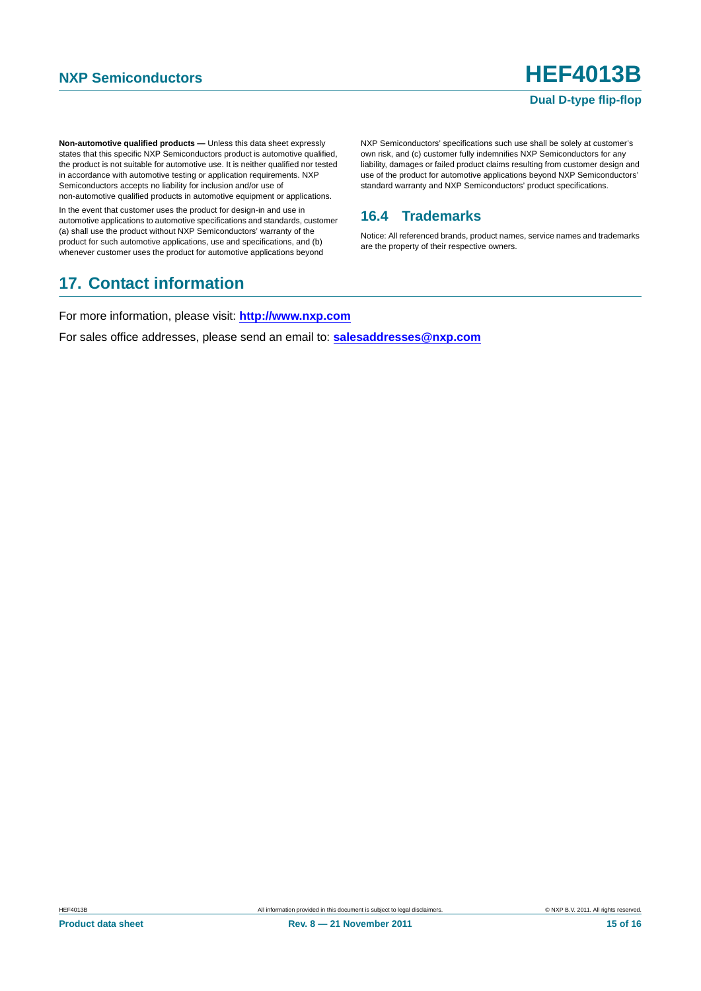**Non-automotive qualified products —** Unless this data sheet expressly states that this specific NXP Semiconductors product is automotive qualified, the product is not suitable for automotive use. It is neither qualified nor tested in accordance with automotive testing or application requirements. NXP Semiconductors accepts no liability for inclusion and/or use of non-automotive qualified products in automotive equipment or applications.

In the event that customer uses the product for design-in and use in automotive applications to automotive specifications and standards, customer (a) shall use the product without NXP Semiconductors' warranty of the product for such automotive applications, use and specifications, and (b) whenever customer uses the product for automotive applications beyond

## <span id="page-14-1"></span>**17. Contact information**

NXP Semiconductors' specifications such use shall be solely at customer's own risk, and (c) customer fully indemnifies NXP Semiconductors for any liability, damages or failed product claims resulting from customer design and use of the product for automotive applications beyond NXP Semiconductors' standard warranty and NXP Semiconductors' product specifications.

#### <span id="page-14-0"></span>**16.4 Trademarks**

Notice: All referenced brands, product names, service names and trademarks are the property of their respective owners.

For more information, please visit: **http://www.nxp.com**

For sales office addresses, please send an email to: **salesaddresses@nxp.com**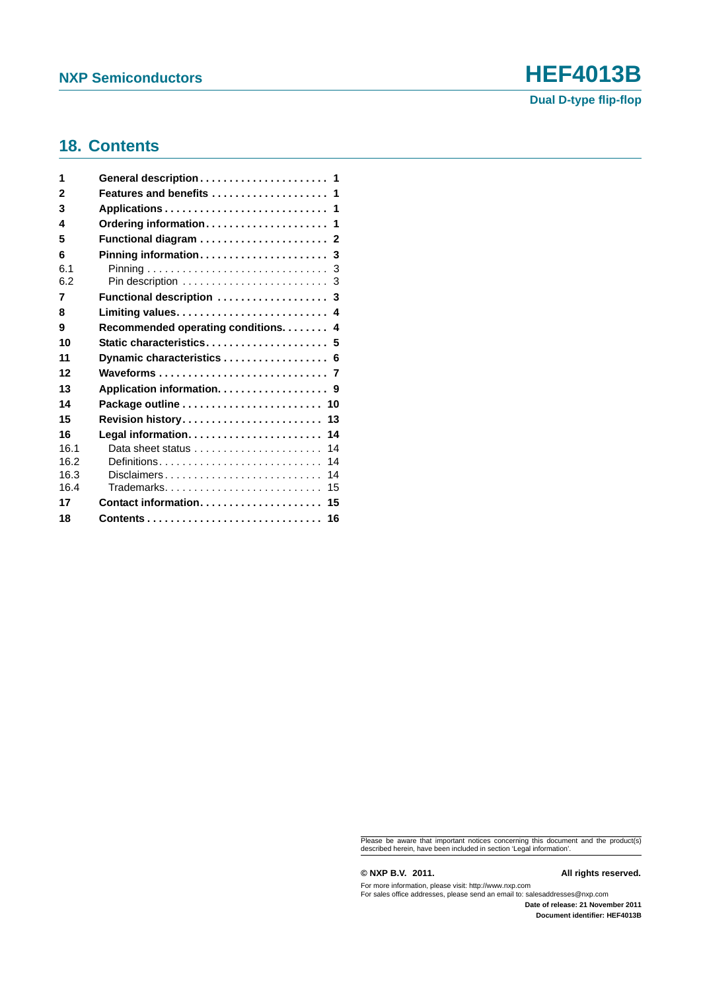# **NXP Semiconductors HEF4013B**

#### <span id="page-15-0"></span>**18. Contents**

| 1    | General description 1                                        |
|------|--------------------------------------------------------------|
| 2    | Features and benefits  1                                     |
| 3    |                                                              |
| 4    | Ordering information 1                                       |
| 5    |                                                              |
| 6    | Pinning information 3                                        |
| 6.1  |                                                              |
| 6.2  |                                                              |
| 7    | Functional description  3                                    |
| 8    |                                                              |
| 9    | Recommended operating conditions. 4                          |
| 10   | Static characteristics 5                                     |
| 11   | Dynamic characteristics  6                                   |
| 12   |                                                              |
| 13   | Application information. 9                                   |
| 14   |                                                              |
| 15   | Revision history 13                                          |
| 16   |                                                              |
| 16.1 | Data sheet status $\ldots \ldots \ldots \ldots \ldots$<br>14 |
| 16.2 | Definitions<br>14                                            |
| 16.3 | 14<br>Disclaimers                                            |
| 16.4 | Trademarks<br>15                                             |
| 17   | Contact information 15                                       |
| 18   |                                                              |

Please be aware that important notices concerning this document and the product(s) described herein, have been included in section 'Legal information'.

**© NXP B.V. 2011. All rights reserved.**

For more information, please visit: http://www.nxp.com For sales office addresses, please send an email to: salesaddresses@nxp.com

**Date of release: 21 November 2011 Document identifier: HEF4013B**